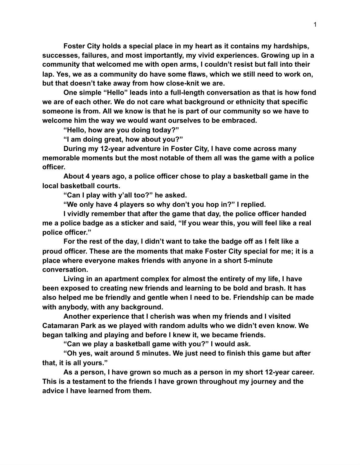**Foster City holds a special place in my heart as it contains my hardships, successes, failures, and most importantly, my vivid experiences. Growing up in a community that welcomed me with open arms, I couldn't resist but fall into their lap. Yes, we as a community do have some flaws, which we still need to work on, but that doesn't take away from how closeknit we are.**

One simple "Hello" leads into a full-length conversation as that is how fond **we are of each other. We do not care what background or ethnicity that specific someone is from. All we know is that he is part of our community so we have to welcome him the way we would want ourselves to be embraced.**

**"Hello, how are you doing today?"**

**"I am doing great, how about you?"**

**During my 12year adventure in Foster City, I have come across many memorable moments but the most notable of them all was the game with a police officer.**

**About 4 years ago, a police officer chose to play a basketball game in the local basketball courts.**

**"Can I play with y'all too?" he asked.**

**"We only have 4 players so why don't you hop in?" I replied.**

**I vividly remember that after the game that day, the police officer handed me a police badge as a sticker and said, "If you wear this, you will feel like a real police officer."**

**For the rest of the day, I didn't want to take the badge off as I felt like a proud officer. These are the moments that make Foster City special for me; it is a place where everyone makes friends with anyone in a short 5minute conversation.**

**Living in an apartment complex for almost the entirety of my life, I have been exposed to creating new friends and learning to be bold and brash. It has also helped me be friendly and gentle when I need to be. Friendship can be made with anybody, with any background.**

**Another experience that I cherish was when my friends and I visited Catamaran Park as we played with random adults who we didn't even know. We began talking and playing and before I knew it, we became friends.**

**"Can we play a basketball game with you?" I would ask.**

**"Oh yes, wait around 5 minutes. We just need to finish this game but after that, it is all yours."**

**As a person, I have grown so much as a person in my short 12year career. This is a testament to the friends I have grown throughout my journey and the advice I have learned from them.**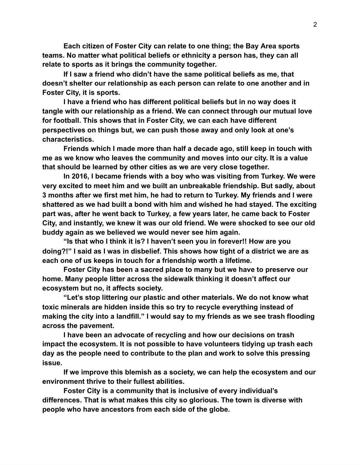**Each citizen of Foster City can relate to one thing; the Bay Area sports teams. No matter what political beliefs or ethnicity a person has, they can all relate to sports as it brings the community together.**

**If I saw a friend who didn't have the same political beliefs as me, that doesn't shelter our relationship as each person can relate to one another and in Foster City, it is sports.**

**I have a friend who has different political beliefs but in no way does it tangle with our relationship as a friend. We can connect through our mutual love for football. This shows that in Foster City, we can each have different perspectives on things but, we can push those away and only look at one's characteristics.**

**Friends which I made more than half a decade ago, still keep in touch with me as we know who leaves the community and moves into our city. It is a value that should be learned by other cities as we are very close together.**

**In 2016, I became friends with a boy who was visiting from Turkey. We were very excited to meet him and we built an unbreakable friendship. But sadly, about 3 months after we first met him, he had to return to Turkey. My friends and I were shattered as we had built a bond with him and wished he had stayed. The exciting part was, after he went back to Turkey, a few years later, he came back to Foster City, and instantly, we knew it was our old friend. We were shocked to see our old buddy again as we believed we would never see him again.**

**"Is that who I think it is? I haven't seen you in forever!! How are you doing?!" I said as I was in disbelief. This shows how tight of a district we are as each one of us keeps in touch for a friendship worth a lifetime.**

**Foster City has been a sacred place to many but we have to preserve our home. Many people litter across the sidewalk thinking it doesn't affect our ecosystem but no, it affects society.**

**"Let's stop littering our plastic and other materials. We do not know what toxic minerals are hidden inside this so try to recycle everything instead of making the city into a landfill." I would say to my friends as we see trash flooding across the pavement.**

**I have been an advocate of recycling and how our decisions on trash impact the ecosystem. It is not possible to have volunteers tidying up trash each day as the people need to contribute to the plan and work to solve this pressing issue.**

**If we improve this blemish as a society, we can help the ecosystem and our environment thrive to their fullest abilities.**

**Foster City is a community that is inclusive of every individual's differences. That is what makes this city so glorious. The town is diverse with people who have ancestors from each side of the globe.**